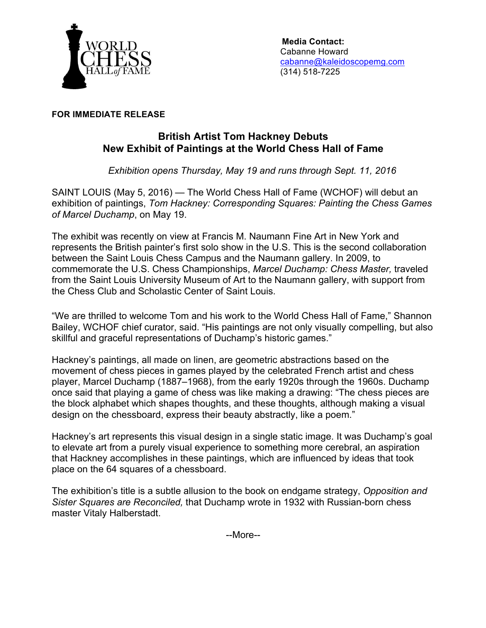

 **Media Contact:** Cabanne Howard cabanne@kaleidoscopemg.com (314) 518-7225

## **FOR IMMEDIATE RELEASE**

## **British Artist Tom Hackney Debuts New Exhibit of Paintings at the World Chess Hall of Fame**

*Exhibition opens Thursday, May 19 and runs through Sept. 11, 2016*

SAINT LOUIS (May 5, 2016) — The World Chess Hall of Fame (WCHOF) will debut an exhibition of paintings, *Tom Hackney: Corresponding Squares: Painting the Chess Games of Marcel Duchamp*, on May 19.

The exhibit was recently on view at Francis M. Naumann Fine Art in New York and represents the British painter's first solo show in the U.S. This is the second collaboration between the Saint Louis Chess Campus and the Naumann gallery. In 2009, to commemorate the U.S. Chess Championships, *Marcel Duchamp: Chess Master,* traveled from the Saint Louis University Museum of Art to the Naumann gallery, with support from the Chess Club and Scholastic Center of Saint Louis.

"We are thrilled to welcome Tom and his work to the World Chess Hall of Fame," Shannon Bailey, WCHOF chief curator, said. "His paintings are not only visually compelling, but also skillful and graceful representations of Duchamp's historic games."

Hackney's paintings, all made on linen, are geometric abstractions based on the movement of chess pieces in games played by the celebrated French artist and chess player, Marcel Duchamp (1887–1968), from the early 1920s through the 1960s. Duchamp once said that playing a game of chess was like making a drawing: "The chess pieces are the block alphabet which shapes thoughts, and these thoughts, although making a visual design on the chessboard, express their beauty abstractly, like a poem."

Hackney's art represents this visual design in a single static image. It was Duchamp's goal to elevate art from a purely visual experience to something more cerebral, an aspiration that Hackney accomplishes in these paintings, which are influenced by ideas that took place on the 64 squares of a chessboard.

The exhibition's title is a subtle allusion to the book on endgame strategy, *Opposition and Sister Squares are Reconciled,* that Duchamp wrote in 1932 with Russian-born chess master Vitaly Halberstadt.

--More--